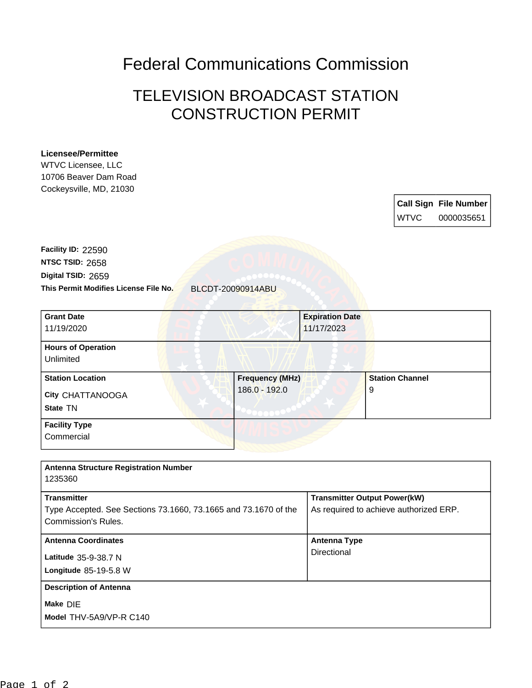Federal Communications Commission

## TELEVISION BROADCAST STATION CONSTRUCTION PERMIT

## **Licensee/Permittee**

WTVC Licensee, LLC 10706 Beaver Dam Road Cockeysville, MD, 21030

|             | <b>Call Sign File Number</b> |
|-------------|------------------------------|
| <b>WTVC</b> | 0000035651                   |

**This Permit Modifies License File No.** BLCDT-20090914ABU **Digital TSID:** 2659 **NTSC TSID:** 2658 **Facility ID:** 22590

| <b>Grant Date</b><br>11/19/2020                         | <b>Expiration Date</b><br>11/17/2023    |                             |
|---------------------------------------------------------|-----------------------------------------|-----------------------------|
| <b>Hours of Operation</b><br>Unlimited                  |                                         |                             |
| <b>Station Location</b><br>City CHATTANOOGA<br>State TN | <b>Frequency (MHz)</b><br>186.0 - 192.0 | <b>Station Channel</b><br>9 |
| <b>Facility Type</b><br>Commercial                      |                                         |                             |

| <b>Antenna Structure Registration Number</b>                                           |                                        |
|----------------------------------------------------------------------------------------|----------------------------------------|
| 1235360                                                                                |                                        |
| <b>Transmitter</b>                                                                     | <b>Transmitter Output Power(kW)</b>    |
| Type Accepted. See Sections 73.1660, 73.1665 and 73.1670 of the<br>Commission's Rules. | As required to achieve authorized ERP. |
| <b>Antenna Coordinates</b>                                                             | <b>Antenna Type</b>                    |
| Latitude 35-9-38.7 N                                                                   | Directional                            |
| <b>Longitude 85-19-5.8 W</b>                                                           |                                        |
| <b>Description of Antenna</b>                                                          |                                        |
| Make DIE                                                                               |                                        |
| Model THV-5A9/VP-R C140                                                                |                                        |